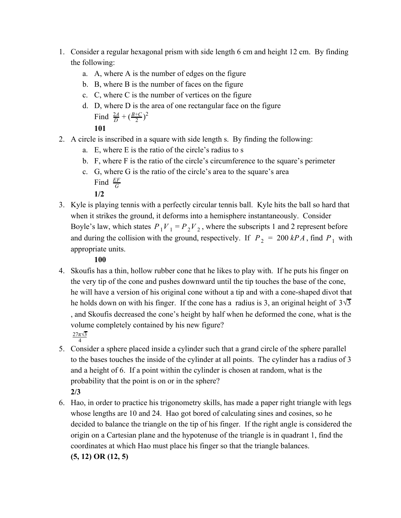- 1. Consider a regular hexagonal prism with side length 6 cm and height 12 cm. By finding the following:
	- a. A, where A is the number of edges on the figure
	- b. B, where B is the number of faces on the figure
	- c. C, where C is the number of vertices on the figure
	- d. D, where D is the area of one rectangular face on the figure Find  $\frac{2A}{D} + (\frac{B+C}{2})^2$  $B+C\gamma^2$

**101**

- 2. A circle is inscribed in a square with side length s. By finding the following:
	- a. E, where E is the ratio of the circle's radius to s
	- b. F, where F is the ratio of the circle's circumference to the square's perimeter
	- c. G, where G is the ratio of the circle's area to the square's area Find *<sup>G</sup> EF*

**1/2**

3. Kyle is playing tennis with a perfectly circular tennis ball. Kyle hits the ball so hard that when it strikes the ground, it deforms into a hemisphere instantaneously. Consider Boyle's law, which states  $P_1V_1 = P_2V_2$ , where the subscripts 1 and 2 represent before and during the collision with the ground, respectively. If  $P_2 = 200 kPA$ , find  $P_1$  with appropriate units.

**100**

- 4. Skoufis has a thin, hollow rubber cone that he likes to play with. If he puts his finger on the very tip of the cone and pushes downward until the tip touches the base of the cone, he will have a version of his original cone without a tip and with a cone-shaped divot that he holds down on with his finger. If the cone has a radius is 3, an original height of  $3\sqrt{3}$ , and Skoufis decreased the cone's height by half when he deformed the cone, what is the volume completely contained by his new figure? 27π√3
- 4 5. Consider a sphere placed inside a cylinder such that a grand circle of the sphere parallel to the bases touches the inside of the cylinder at all points. The cylinder has a radius of 3 and a height of 6. If a point within the cylinder is chosen at random, what is the probability that the point is on or in the sphere? **2/3**
- 6. Hao, in order to practice his trigonometry skills, has made a paper right triangle with legs whose lengths are 10 and 24. Hao got bored of calculating sines and cosines, so he decided to balance the triangle on the tip of his finger. If the right angle is considered the origin on a Cartesian plane and the hypotenuse of the triangle is in quadrant 1, find the coordinates at which Hao must place his finger so that the triangle balances. **(5, 12) OR (12, 5)**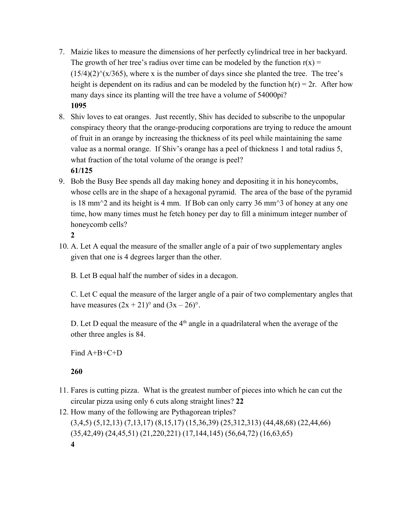- 7. Maizie likes to measure the dimensions of her perfectly cylindrical tree in her backyard. The growth of her tree's radius over time can be modeled by the function  $r(x) =$  $(15/4)(2)^{\wedge}$ (x/365), where x is the number of days since she planted the tree. The tree's height is dependent on its radius and can be modeled by the function  $h(r) = 2r$ . After how many days since its planting will the tree have a volume of 54000pi? **1095**
- 8. Shiv loves to eat oranges. Just recently, Shiv has decided to subscribe to the unpopular conspiracy theory that the orange-producing corporations are trying to reduce the amount of fruit in an orange by increasing the thickness of its peel while maintaining the same value as a normal orange. If Shiv's orange has a peel of thickness 1 and total radius 5, what fraction of the total volume of the orange is peel? **61/125**
- 9. Bob the Busy Bee spends all day making honey and depositing it in his honeycombs, whose cells are in the shape of a hexagonal pyramid. The area of the base of the pyramid is 18 mm<sup> $\sim$ </sup> 2 and its height is 4 mm. If Bob can only carry 36 mm $\sim$ 3 of honey at any one time, how many times must he fetch honey per day to fill a minimum integer number of honeycomb cells?

**2**

10. A. Let A equal the measure of the smaller angle of a pair of two supplementary angles given that one is 4 degrees larger than the other.

B. Let B equal half the number of sides in a decagon.

C. Let C equal the measure of the larger angle of a pair of two complementary angles that have measures  $(2x + 21)^\circ$  and  $(3x - 26)^\circ$ .

D. Let D equal the measure of the  $4<sup>th</sup>$  angle in a quadrilateral when the average of the other three angles is 84.

Find A+B+C+D

**260**

- 11. Fares is cutting pizza. What is the greatest number of pieces into which he can cut the circular pizza using only 6 cuts along straight lines? **22**
- 12. How many of the following are Pythagorean triples? (3,4,5) (5,12,13) (7,13,17) (8,15,17) (15,36,39) (25,312,313) (44,48,68) (22,44,66) (35,42,49) (24,45,51) (21,220,221) (17,144,145) (56,64,72) (16,63,65) **4**